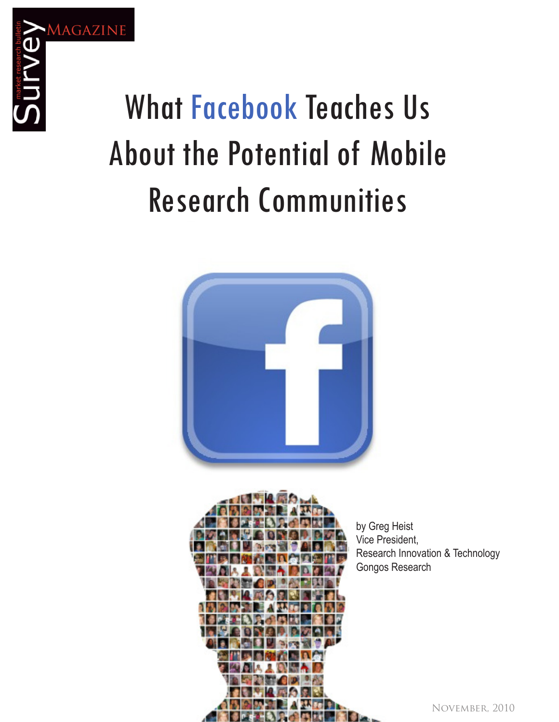

## WHAT FULGDOOK TEACHES US About the Potential of Mobile Research Communities What Facebook Teaches Us About the Potential of Mobile Research Communities





by Greg Heist sy energy research interests on the Technology Pressure of the Technology and the Technology and Technology and Technology and Technology and Technology and Technology and Technology and Technology and Technology and Techn medicions,<br>Research Innovation & Technology Gongos Research

November, 2010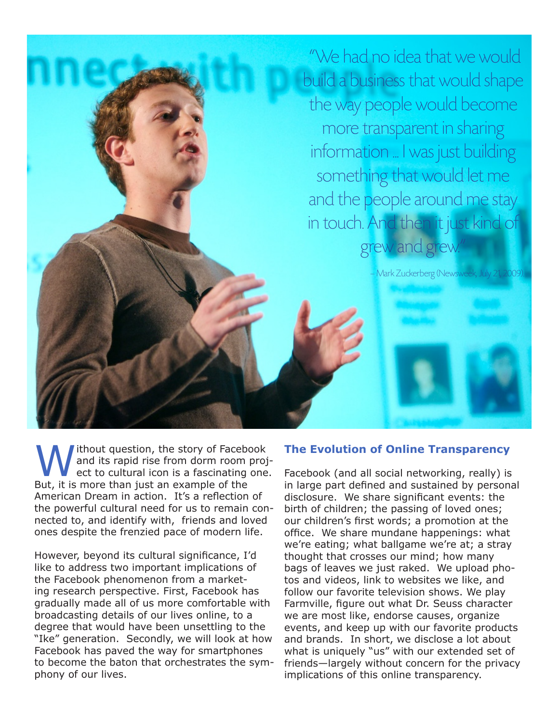"We had no idea that we would build a business that would shape the way people would become more transparent in sharing information ... I was just building something that would let me and the people around me stay in touch. And then it just kind of grew and grew.

– Mark Zuckerberg (Newsweek, July 21, 2009).

ithout question, the story of Facebook and its rapid rise from dorm room project to cultural icon is a fascinating one. But, it is more than just an example of the American Dream in action. It's a reflection of the powerful cultural need for us to remain connected to, and identify with, friends and loved ones despite the frenzied pace of modern life.

However, beyond its cultural significance, I'd like to address two important implications of the Facebook phenomenon from a marketing research perspective. First, Facebook has gradually made all of us more comfortable with broadcasting details of our lives online, to a degree that would have been unsettling to the "Ike" generation. Secondly, we will look at how Facebook has paved the way for smartphones to become the baton that orchestrates the symphony of our lives.

#### **The Evolution of Online Transparency**

Facebook (and all social networking, really) is in large part defined and sustained by personal disclosure. We share significant events: the birth of children; the passing of loved ones; our children's first words; a promotion at the office. We share mundane happenings: what we're eating; what ballgame we're at; a stray thought that crosses our mind; how many bags of leaves we just raked. We upload photos and videos, link to websites we like, and follow our favorite television shows. We play Farmville, figure out what Dr. Seuss character we are most like, endorse causes, organize events, and keep up with our favorite products and brands. In short, we disclose a lot about what is uniquely "us" with our extended set of friends—largely without concern for the privacy implications of this online transparency.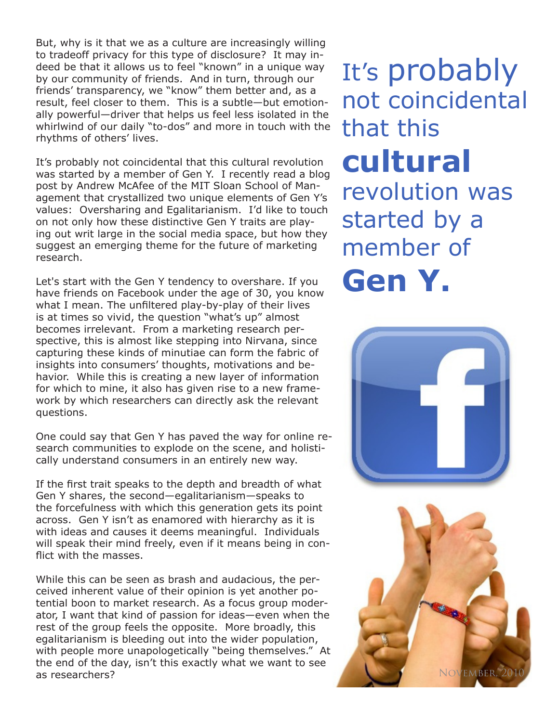But, why is it that we as a culture are increasingly willing to tradeoff privacy for this type of disclosure? It may indeed be that it allows us to feel "known" in a unique way by our community of friends. And in turn, through our friends' transparency, we "know" them better and, as a result, feel closer to them. This is a subtle—but emotionally powerful—driver that helps us feel less isolated in the whirlwind of our daily "to-dos" and more in touch with the rhythms of others' lives.

It's probably not coincidental that this cultural revolution was started by a member of Gen Y. I recently read a blog post by Andrew McAfee of the MIT Sloan School of Management that crystallized two unique elements of Gen Y's values: Oversharing and Egalitarianism. I'd like to touch on not only how these distinctive Gen Y traits are playing out writ large in the social media space, but how they suggest an emerging theme for the future of marketing research.

Let's start with the Gen Y tendency to overshare. If you have friends on Facebook under the age of 30, you know what I mean. The unfiltered play-by-play of their lives is at times so vivid, the question "what's up" almost becomes irrelevant. From a marketing research perspective, this is almost like stepping into Nirvana, since capturing these kinds of minutiae can form the fabric of insights into consumers' thoughts, motivations and behavior. While this is creating a new layer of information for which to mine, it also has given rise to a new framework by which researchers can directly ask the relevant questions.

One could say that Gen Y has paved the way for online research communities to explode on the scene, and holistically understand consumers in an entirely new way.

If the first trait speaks to the depth and breadth of what Gen Y shares, the second—egalitarianism—speaks to the forcefulness with which this generation gets its point across. Gen Y isn't as enamored with hierarchy as it is with ideas and causes it deems meaningful. Individuals will speak their mind freely, even if it means being in conflict with the masses.

While this can be seen as brash and audacious, the perceived inherent value of their opinion is yet another potential boon to market research. As a focus group moderator, I want that kind of passion for ideas—even when the rest of the group feels the opposite. More broadly, this egalitarianism is bleeding out into the wider population, with people more unapologetically "being themselves." At the end of the day, isn't this exactly what we want to see as researchers?

It's probably not coincidental that this **cultural** revolution was started by a member of **Gen Y.**



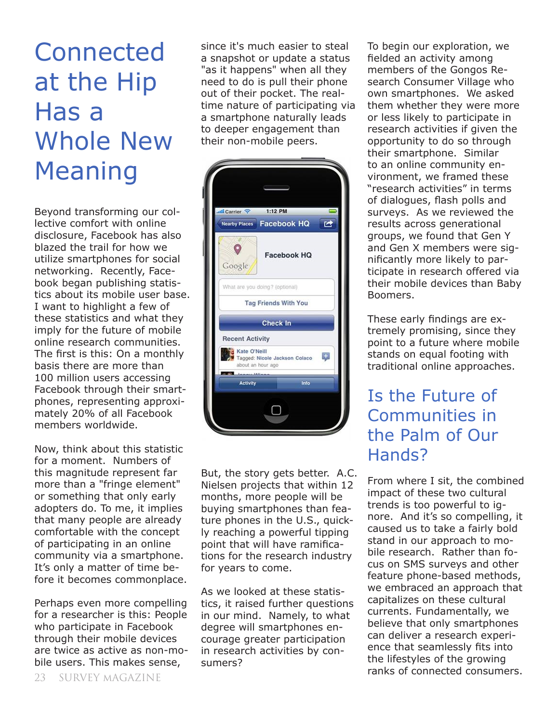# **Connected** at the Hip Has a Whole New Meaning

Beyond transforming our collective comfort with online disclosure, Facebook has also blazed the trail for how we utilize smartphones for social networking. Recently, Facebook began publishing statistics about its mobile user base. I want to highlight a few of these statistics and what they imply for the future of mobile online research communities. The first is this: On a monthly basis there are more than 100 million users accessing Facebook through their smartphones, representing approximately 20% of all Facebook members worldwide.

Now, think about this statistic for a moment. Numbers of this magnitude represent far more than a "fringe element" or something that only early adopters do. To me, it implies that many people are already comfortable with the concept of participating in an online community via a smartphone. It's only a matter of time before it becomes commonplace.

Perhaps even more compelling for a researcher is this: People who participate in Facebook through their mobile devices are twice as active as non-mobile users. This makes sense,

since it's much easier to steal a snapshot or update a status "as it happens" when all they need to do is pull their phone out of their pocket. The realtime nature of participating via a smartphone naturally leads to deeper engagement than their non-mobile peers.

| 1:12 PM<br>atil Carrier<br><b>Facebook HQ</b><br><b>Nearby Places</b><br><b>Facebook HQ</b><br>Google<br>What are you doing? (optional)<br><b>Tag Friends With You</b><br><b>Check In</b><br><b>Recent Activity</b> |              |     |
|---------------------------------------------------------------------------------------------------------------------------------------------------------------------------------------------------------------------|--------------|-----|
|                                                                                                                                                                                                                     |              |     |
|                                                                                                                                                                                                                     |              |     |
|                                                                                                                                                                                                                     |              |     |
|                                                                                                                                                                                                                     |              |     |
|                                                                                                                                                                                                                     |              |     |
|                                                                                                                                                                                                                     |              |     |
|                                                                                                                                                                                                                     |              |     |
| Tagged: Nicole Jackson Colaco<br>about an hour ago<br>متابقف عمد                                                                                                                                                    | Kate O'Neill | $+$ |
| <b>Activity</b><br>Info                                                                                                                                                                                             |              |     |

But, the story gets better. A.C. Nielsen projects that within 12 months, more people will be buying smartphones than feature phones in the U.S., quickly reaching a powerful tipping point that will have ramifications for the research industry for years to come.

As we looked at these statistics, it raised further questions in our mind. Namely, to what degree will smartphones encourage greater participation in research activities by consumers?

To begin our exploration, we fielded an activity among members of the Gongos Research Consumer Village who own smartphones. We asked them whether they were more or less likely to participate in research activities if given the opportunity to do so through their smartphone. Similar to an online community environment, we framed these "research activities" in terms of dialogues, flash polls and surveys. As we reviewed the results across generational groups, we found that Gen Y and Gen X members were significantly more likely to participate in research offered via their mobile devices than Baby Boomers.

These early findings are extremely promising, since they point to a future where mobile stands on equal footing with traditional online approaches.

### Is the Future of Communities in the Palm of Our Hands?

From where I sit, the combined impact of these two cultural trends is too powerful to ignore. And it's so compelling, it caused us to take a fairly bold stand in our approach to mobile research. Rather than focus on SMS surveys and other feature phone-based methods, we embraced an approach that capitalizes on these cultural currents. Fundamentally, we believe that only smartphones can deliver a research experience that seamlessly fits into the lifestyles of the growing ranks of connected consumers.<br>23 SURVEY MAGAZINE